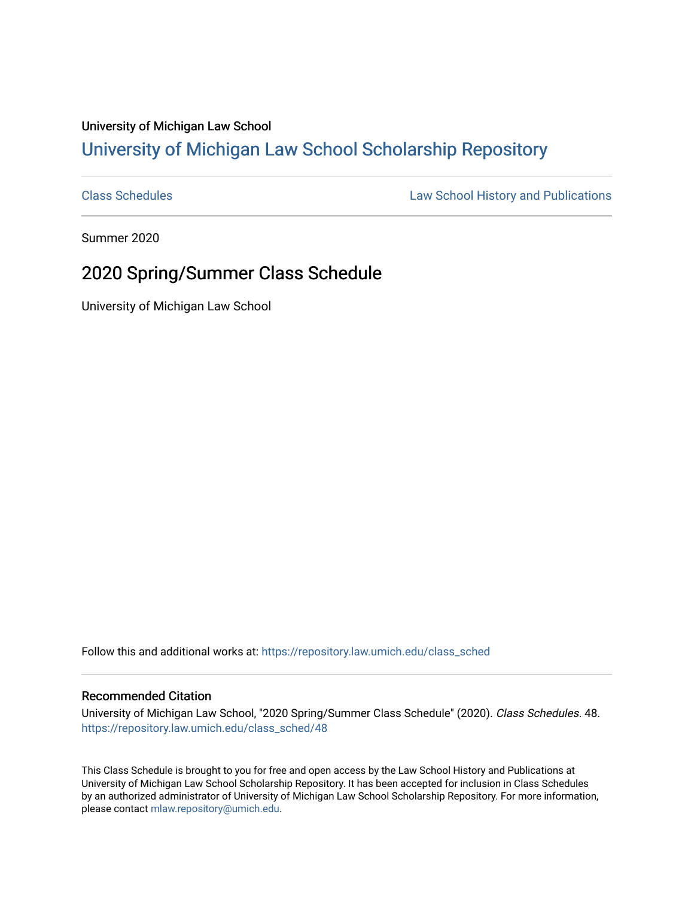### University of Michigan Law School [University of Michigan Law School Scholarship Repository](https://repository.law.umich.edu/)

[Class Schedules](https://repository.law.umich.edu/class_sched) **Law School History and Publications** 

Summer 2020

## 2020 Spring/Summer Class Schedule

University of Michigan Law School

Follow this and additional works at: [https://repository.law.umich.edu/class\\_sched](https://repository.law.umich.edu/class_sched?utm_source=repository.law.umich.edu%2Fclass_sched%2F48&utm_medium=PDF&utm_campaign=PDFCoverPages) 

#### Recommended Citation

University of Michigan Law School, "2020 Spring/Summer Class Schedule" (2020). Class Schedules. 48. [https://repository.law.umich.edu/class\\_sched/48](https://repository.law.umich.edu/class_sched/48?utm_source=repository.law.umich.edu%2Fclass_sched%2F48&utm_medium=PDF&utm_campaign=PDFCoverPages)

This Class Schedule is brought to you for free and open access by the Law School History and Publications at University of Michigan Law School Scholarship Repository. It has been accepted for inclusion in Class Schedules by an authorized administrator of University of Michigan Law School Scholarship Repository. For more information, please contact [mlaw.repository@umich.edu.](mailto:mlaw.repository@umich.edu)